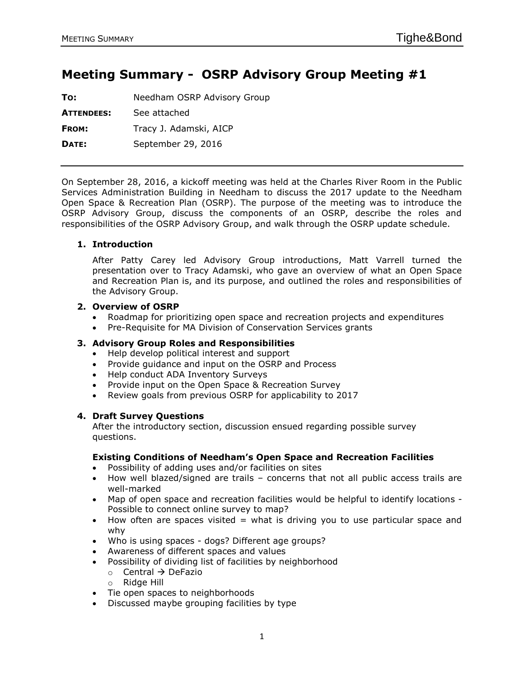# **Meeting Summary - OSRP Advisory Group Meeting #1**

| To:               | Needham OSRP Advisory Group |  |
|-------------------|-----------------------------|--|
| <b>ATTENDEES:</b> | See attached                |  |
| <b>FROM:</b>      | Tracy J. Adamski, AICP      |  |
| DATE:             | September 29, 2016          |  |
|                   |                             |  |

On September 28, 2016, a kickoff meeting was held at the Charles River Room in the Public Services Administration Building in Needham to discuss the 2017 update to the Needham Open Space & Recreation Plan (OSRP). The purpose of the meeting was to introduce the OSRP Advisory Group, discuss the components of an OSRP, describe the roles and responsibilities of the OSRP Advisory Group, and walk through the OSRP update schedule.

# **1. Introduction**

After Patty Carey led Advisory Group introductions, Matt Varrell turned the presentation over to Tracy Adamski, who gave an overview of what an Open Space and Recreation Plan is, and its purpose, and outlined the roles and responsibilities of the Advisory Group.

## **2. Overview of OSRP**

- Roadmap for prioritizing open space and recreation projects and expenditures
- Pre-Requisite for MA Division of Conservation Services grants

# **3. Advisory Group Roles and Responsibilities**

- Help develop political interest and support
- Provide quidance and input on the OSRP and Process
- Help conduct ADA Inventory Surveys
- Provide input on the Open Space & Recreation Survey
- Review goals from previous OSRP for applicability to 2017

# **4. Draft Survey Questions**

After the introductory section, discussion ensued regarding possible survey questions.

#### **Existing Conditions of Needham's Open Space and Recreation Facilities**

- Possibility of adding uses and/or facilities on sites
- How well blazed/signed are trails concerns that not all public access trails are well-marked
- Map of open space and recreation facilities would be helpful to identify locations Possible to connect online survey to map?
- How often are spaces visited = what is driving you to use particular space and why
- Who is using spaces dogs? Different age groups?
- Awareness of different spaces and values
- Possibility of dividing list of facilities by neighborhood
	- $\circ$  Central  $\rightarrow$  DeFazio
	- o Ridge Hill
- Tie open spaces to neighborhoods
- Discussed maybe grouping facilities by type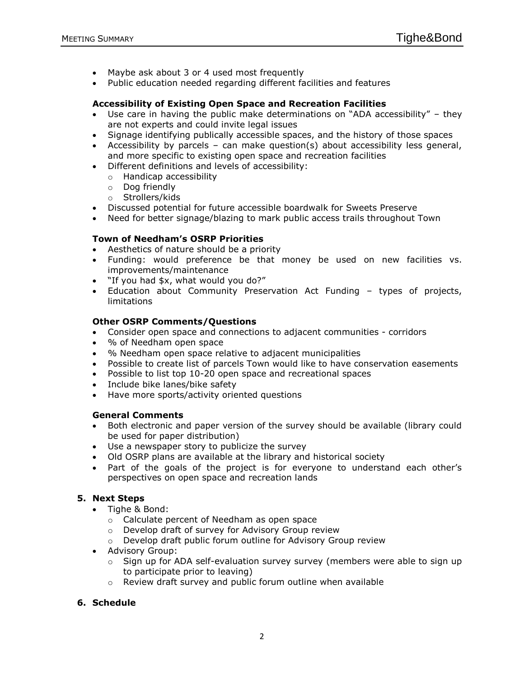- Maybe ask about 3 or 4 used most frequently
- Public education needed regarding different facilities and features

## **Accessibility of Existing Open Space and Recreation Facilities**

- Use care in having the public make determinations on "ADA accessibility" they are not experts and could invite legal issues
- Signage identifying publically accessible spaces, and the history of those spaces
- Accessibility by parcels can make question(s) about accessibility less general, and more specific to existing open space and recreation facilities
- Different definitions and levels of accessibility:
	- o Handicap accessibility
	- o Dog friendly
	- o Strollers/kids
- Discussed potential for future accessible boardwalk for Sweets Preserve
- Need for better signage/blazing to mark public access trails throughout Town

## **Town of Needham's OSRP Priorities**

- Aesthetics of nature should be a priority
- Funding: would preference be that money be used on new facilities vs. improvements/maintenance
- "If you had \$x, what would you do?"
- Education about Community Preservation Act Funding types of projects, limitations

## **Other OSRP Comments/Questions**

- Consider open space and connections to adjacent communities corridors
- % of Needham open space
- % Needham open space relative to adjacent municipalities
- Possible to create list of parcels Town would like to have conservation easements
- Possible to list top 10-20 open space and recreational spaces
- Include bike lanes/bike safety
- Have more sports/activity oriented questions

#### **General Comments**

- Both electronic and paper version of the survey should be available (library could be used for paper distribution)
- Use a newspaper story to publicize the survey
- Old OSRP plans are available at the library and historical society
- Part of the goals of the project is for everyone to understand each other's perspectives on open space and recreation lands

# **5. Next Steps**

- Tighe & Bond:
	- o Calculate percent of Needham as open space
	- o Develop draft of survey for Advisory Group review
	- $\circ$  Develop draft public forum outline for Advisory Group review
- Advisory Group:
	- $\circ$  Sign up for ADA self-evaluation survey survey (members were able to sign up to participate prior to leaving)
	- o Review draft survey and public forum outline when available

# **6. Schedule**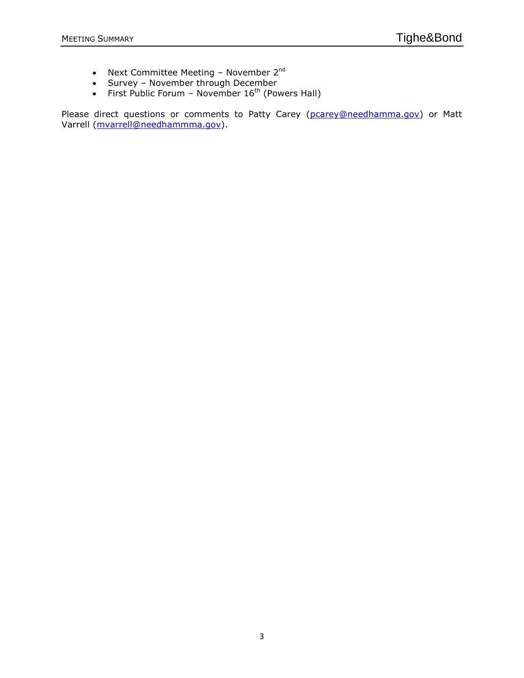- Next Committee Meeting November 2<sup>nd</sup>
- Survey November through December
- First Public Forum November  $16^{th}$  (Powers Hall)

Please direct questions or comments to Patty Carey [\(pcarey@needhamma.gov\)](mailto:pcarey@needhamma.gov) or Matt Varrell [\(mvarrell@needhammma.gov\)](mailto:mvarrell@needhammma.gov).